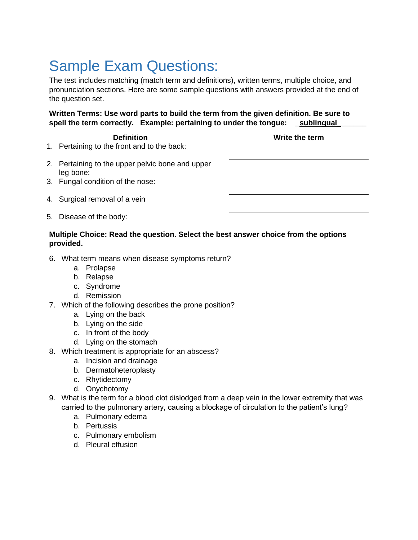## Sample Exam Questions:

The test includes matching (match term and definitions), written terms, multiple choice, and pronunciation sections. Here are some sample questions with answers provided at the end of the question set.

**Written Terms: Use word parts to build the term from the given definition. Be sure to**  spell the term correctly. Example: pertaining to under the tongue: sublingual

**Definition Write the term**

- 1. Pertaining to the front and to the back:
- 2. Pertaining to the upper pelvic bone and upper leg bone:
- 3. Fungal condition of the nose:
- 4. Surgical removal of a vein
- 5. Disease of the body:

## **Multiple Choice: Read the question. Select the best answer choice from the options provided.**

- 6. What term means when disease symptoms return?
	- a. Prolapse
	- b. Relapse
	- c. Syndrome
	- d. Remission
- 7. Which of the following describes the prone position?
	- a. Lying on the back
	- b. Lying on the side
	- c. In front of the body
	- d. Lying on the stomach
- 8. Which treatment is appropriate for an abscess?
	- a. Incision and drainage
	- b. Dermatoheteroplasty
	- c. Rhytidectomy
	- d. Onychotomy
- 9. What is the term for a blood clot dislodged from a deep vein in the lower extremity that was carried to the pulmonary artery, causing a blockage of circulation to the patient's lung?
	- a. Pulmonary edema
	- b. Pertussis
	- c. Pulmonary embolism
	- d. Pleural effusion